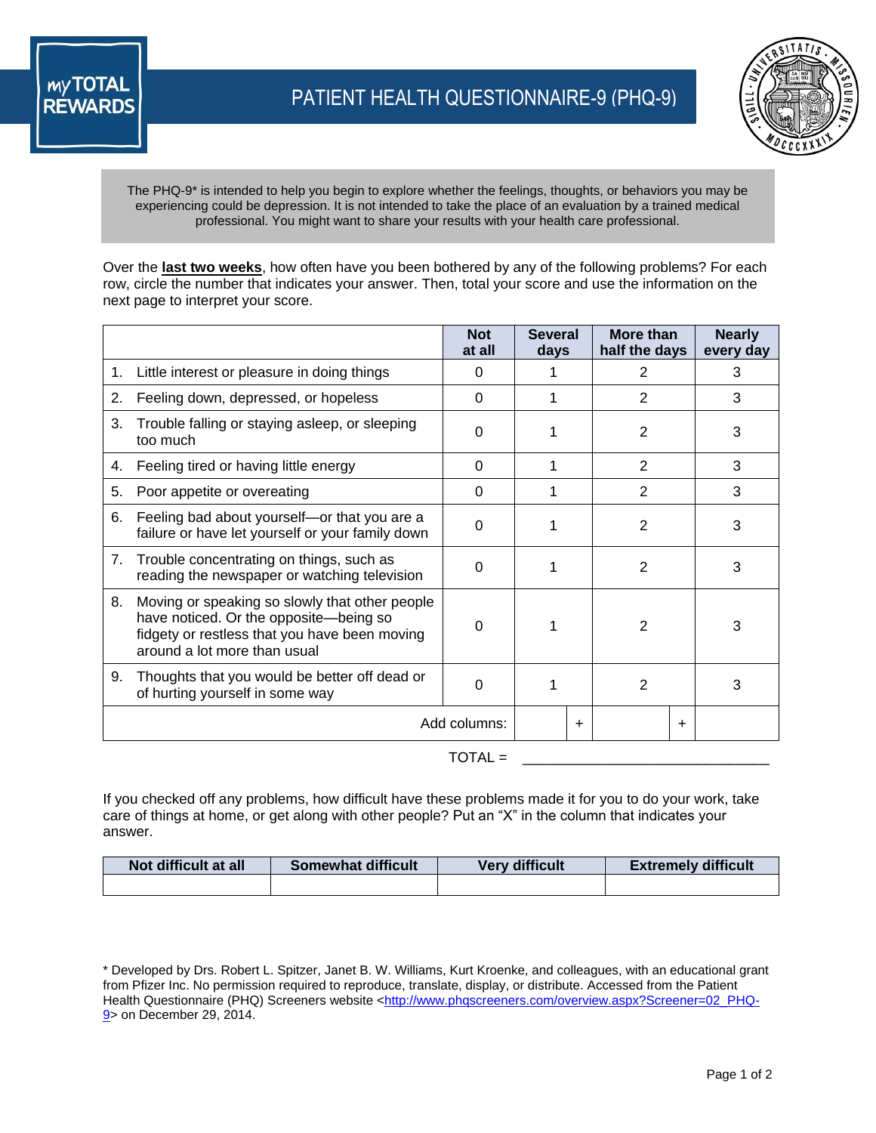

The PHQ-9\* is intended to help you begin to explore whether the feelings, thoughts, or behaviors you may be experiencing could be depression. It is not intended to take the place of an evaluation by a trained medical professional. You might want to share your results with your health care professional.

Over the **last two weeks**, how often have you been bothered by any of the following problems? For each row, circle the number that indicates your answer. Then, total your score and use the information on the next page to interpret your score.

|    |                                                                                                                                                                           | <b>Not</b><br>at all | <b>Several</b><br>days |   | More than<br>half the days |   | <b>Nearly</b><br>every day |
|----|---------------------------------------------------------------------------------------------------------------------------------------------------------------------------|----------------------|------------------------|---|----------------------------|---|----------------------------|
| 1. | Little interest or pleasure in doing things                                                                                                                               | 0                    |                        |   | 2                          |   | 3                          |
| 2. | Feeling down, depressed, or hopeless                                                                                                                                      | $\Omega$             |                        |   | 2                          |   | 3                          |
| 3. | Trouble falling or staying asleep, or sleeping<br>too much                                                                                                                | $\Omega$             |                        |   | 2                          |   | 3                          |
| 4. | Feeling tired or having little energy                                                                                                                                     | $\Omega$             |                        |   | 2                          |   | 3                          |
| 5. | Poor appetite or overeating                                                                                                                                               | $\Omega$             |                        |   | 2                          |   | 3                          |
| 6. | Feeling bad about yourself-or that you are a<br>failure or have let yourself or your family down                                                                          | 0                    |                        |   | 2                          |   | 3                          |
| 7. | Trouble concentrating on things, such as<br>reading the newspaper or watching television                                                                                  | $\Omega$             |                        |   | 2                          |   | 3                          |
| 8. | Moving or speaking so slowly that other people<br>have noticed. Or the opposite-being so<br>fidgety or restless that you have been moving<br>around a lot more than usual | 0                    |                        |   | 2                          |   | з                          |
| 9. | Thoughts that you would be better off dead or<br>of hurting yourself in some way                                                                                          | $\Omega$             |                        |   | 2                          |   | 3                          |
|    | Add columns:                                                                                                                                                              |                      |                        | ÷ |                            | ÷ |                            |

 $TOTAL =$ 

If you checked off any problems, how difficult have these problems made it for you to do your work, take care of things at home, or get along with other people? Put an "X" in the column that indicates your answer.

| Not difficult at all | <b>Somewhat difficult</b> | Very difficult | <b>Extremely difficult</b> |  |  |
|----------------------|---------------------------|----------------|----------------------------|--|--|
|                      |                           |                |                            |  |  |

<sup>\*</sup> Developed by Drs. Robert L. Spitzer, Janet B. W. Williams, Kurt Kroenke, and colleagues, with an educational grant from Pfizer Inc. No permission required to reproduce, translate, display, or distribute. Accessed from the Patient Health Questionnaire (PHQ) Screeners website [<http://www.phqscreeners.com/overview.aspx?Screener=02\\_PHQ-](http://www.phqscreeners.com/overview.aspx?Screener=02_PHQ-9)[9>](http://www.phqscreeners.com/overview.aspx?Screener=02_PHQ-9) on December 29, 2014.